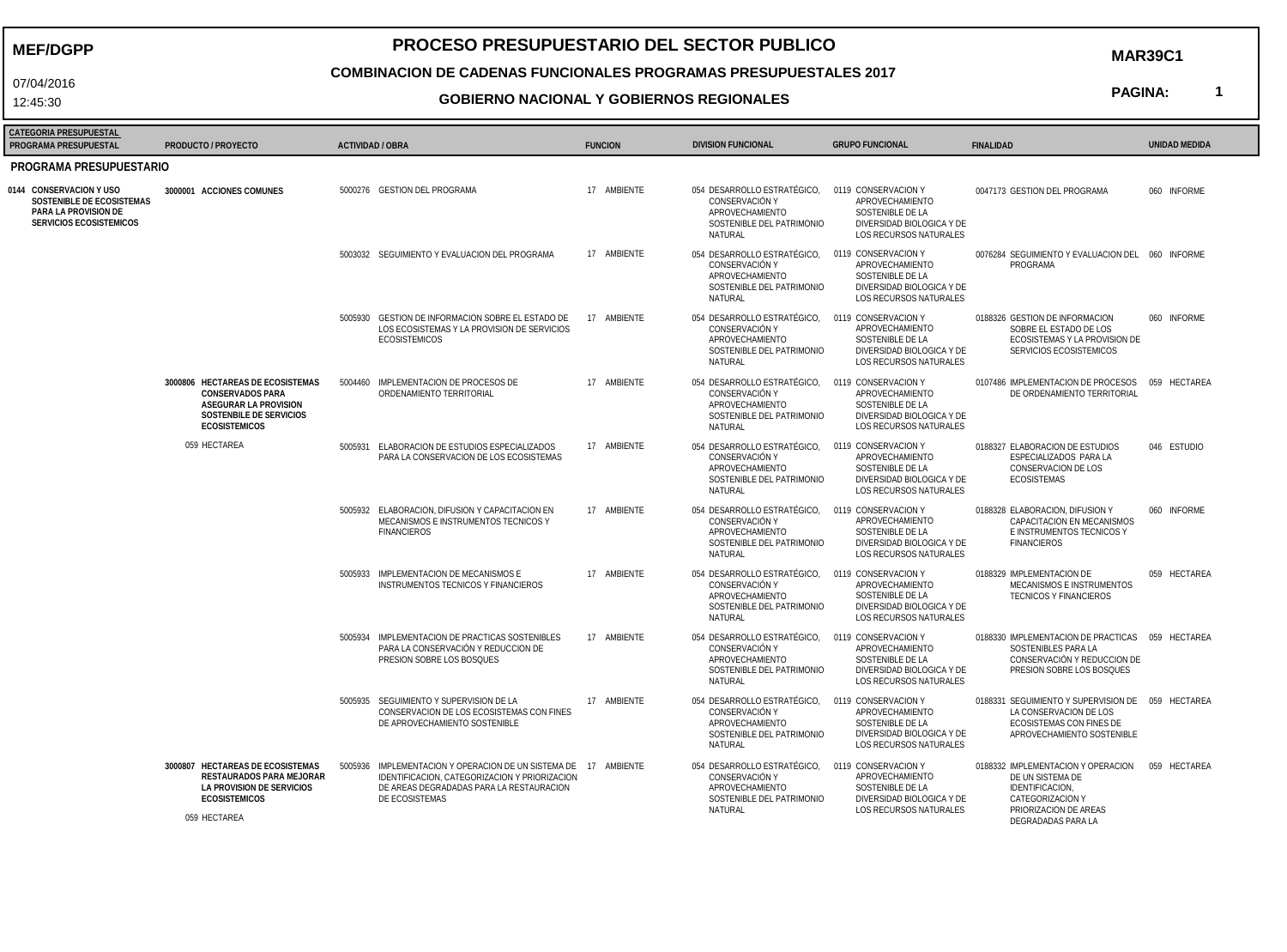**MEF/DGPP**

07/04/2016 12:45:30

# **PROCESO PRESUPUESTARIO DEL SECTOR PUBLICO**

**MAR39C1**

## **COMBINACION DE CADENAS FUNCIONALES PROGRAMAS PRESUPUESTALES 2017**

#### **GOBIERNO NACIONAL Y GOBIERNOS REGIONALES**

**PAGINA:**

**1**

| <b>CATEGORIA PRESUPUESTAL</b>                                                                           |                                                                                                                                         |                  |                                                                                                                                                                                |                |                                                                                                                               |                                                                                                                          |                                                                                                                                              |                      |  |  |  |  |
|---------------------------------------------------------------------------------------------------------|-----------------------------------------------------------------------------------------------------------------------------------------|------------------|--------------------------------------------------------------------------------------------------------------------------------------------------------------------------------|----------------|-------------------------------------------------------------------------------------------------------------------------------|--------------------------------------------------------------------------------------------------------------------------|----------------------------------------------------------------------------------------------------------------------------------------------|----------------------|--|--|--|--|
| PROGRAMA PRESUPUESTAL                                                                                   | PRODUCTO / PROYECTO                                                                                                                     | ACTIVIDAD / OBRA |                                                                                                                                                                                | <b>FUNCION</b> | <b>DIVISION FUNCIONAL</b>                                                                                                     | <b>GRUPO FUNCIONAL</b>                                                                                                   | <b>FINAL IDAD</b>                                                                                                                            | <b>UNIDAD MEDIDA</b> |  |  |  |  |
| PROGRAMA PRESUPUESTARIO                                                                                 |                                                                                                                                         |                  |                                                                                                                                                                                |                |                                                                                                                               |                                                                                                                          |                                                                                                                                              |                      |  |  |  |  |
| 0144 CONSERVACION Y USO<br>SOSTENIBLE DE ECOSISTEMAS<br>PARA LA PROVISION DE<br>SERVICIOS ECOSISTEMICOS | 3000001 ACCIONES COMUNES                                                                                                                |                  | 5000276 GESTION DEL PROGRAMA                                                                                                                                                   | 17 AMBIENTE    | 054 DESARROLLO ESTRATÉGICO, 0119 CONSERVACION Y<br>CONSERVACIÓN Y<br>APROVECHAMIENTO<br>SOSTENIBLE DEL PATRIMONIO<br>NATURAL  | APROVECHAMIENTO<br>SOSTENIBLE DE LA<br>DIVERSIDAD BIOLOGICA Y DE<br><b>LOS RECURSOS NATURALES</b>                        | 0047173 GESTION DEL PROGRAMA                                                                                                                 | 060 INFORME          |  |  |  |  |
|                                                                                                         |                                                                                                                                         |                  | 5003032 SEGUIMIENTO Y EVALUACION DEL PROGRAMA                                                                                                                                  | 17 AMBIENTE    | 054 DESARROLLO ESTRATÉGICO,<br>CONSERVACIÓN Y<br>APROVECHAMIENTO<br>SOSTENIBLE DEL PATRIMONIO<br>NATURAL                      | 0119 CONSERVACION Y<br>APROVECHAMIENTO<br>SOSTENIBLE DE LA<br>DIVERSIDAD BIOLOGICA Y DE<br>LOS RECURSOS NATURALES        | 0076284 SEGUIMIENTO Y EVALUACION DEL 060 INFORME<br>PROGRAMA                                                                                 |                      |  |  |  |  |
|                                                                                                         |                                                                                                                                         |                  | 5005930 GESTION DE INFORMACION SOBRE EL ESTADO DE<br>LOS ECOSISTEMAS Y LA PROVISION DE SERVICIOS<br><b>ECOSISTEMICOS</b>                                                       | 17 AMBIENTE    | 054 DESARROLLO ESTRATÉGICO.  0119 CONSERVACION Y<br>CONSERVACIÓN Y<br>APROVECHAMIENTO<br>SOSTENIBLE DEL PATRIMONIO<br>NATURAL | APROVECHAMIENTO<br>SOSTENIBLE DE LA<br>DIVERSIDAD BIOLOGICA Y DE<br>LOS RECURSOS NATURALES                               | 0188326 GESTION DE INFORMACION<br>SOBRE EL ESTADO DE LOS<br>ECOSISTEMAS Y LA PROVISION DE<br>SERVICIOS ECOSISTEMICOS                         | 060 INFORME          |  |  |  |  |
|                                                                                                         | 3000806 HECTAREAS DE ECOSISTEMAS<br><b>CONSERVADOS PARA</b><br>ASEGURAR LA PROVISION<br>SOSTENBILE DE SERVICIOS<br><b>ECOSISTEMICOS</b> |                  | 5004460 IMPLEMENTACION DE PROCESOS DE<br>ORDENAMIENTO TERRITORIAL                                                                                                              | 17 AMBIFNTF    | 054 DESARROLLO ESTRATÉGICO.  0119 CONSERVACION Y<br>CONSERVACIÓN Y<br>APROVECHAMIENTO<br>SOSTENIBLE DEL PATRIMONIO<br>NATURAL | APROVECHAMIENTO<br>SOSTENIBLE DE LA<br>DIVERSIDAD BIOLOGICA Y DE<br><b>LOS RECURSOS NATURALES</b>                        | 0107486 IMPLEMENTACION DE PROCESOS 059 HECTAREA<br>DE ORDENAMIENTO TERRITORIAL                                                               |                      |  |  |  |  |
|                                                                                                         | 059 HECTAREA                                                                                                                            |                  | 5005931 ELABORACION DE ESTUDIOS ESPECIALIZADOS<br>PARA LA CONSERVACION DE LOS ECOSISTEMAS                                                                                      | 17 AMBIENTE    | 054 DESARROLLO ESTRATÉGICO,<br>CONSERVACIÓN Y<br>APROVECHAMIENTO<br>SOSTENIBLE DEL PATRIMONIO<br>NATURAL                      | 0119 CONSERVACION Y<br>APROVECHAMIENTO<br>SOSTENIBLE DE LA<br>DIVERSIDAD BIOLOGICA Y DE<br>LOS RECURSOS NATURALES        | 0188327 ELABORACION DE ESTUDIOS<br>ESPECIALIZADOS PARA LA<br>CONSERVACION DE LOS<br><b>ECOSISTEMAS</b>                                       | 046 ESTUDIO          |  |  |  |  |
|                                                                                                         |                                                                                                                                         |                  | 5005932 ELABORACION, DIFUSION Y CAPACITACION EN<br>MECANISMOS E INSTRUMENTOS TECNICOS Y<br><b>FINANCIEROS</b>                                                                  | 17 AMBIENTE    | 054 DESARROLLO ESTRATÉGICO, 0119 CONSERVACION Y<br>CONSERVACIÓN Y<br>APROVECHAMIENTO<br>SOSTENIBLE DEL PATRIMONIO<br>NATURAL  | APROVECHAMIENTO<br>SOSTENIBLE DE LA<br>DIVERSIDAD BIOLOGICA Y DE<br>LOS RECURSOS NATURALES                               | 0188328 ELABORACION, DIFUSION Y<br><b>CAPACITACION EN MECANISMOS</b><br>E INSTRUMENTOS TECNICOS Y<br><b>FINANCIEROS</b>                      | 060 INFORME          |  |  |  |  |
|                                                                                                         |                                                                                                                                         |                  | 5005933 IMPLEMENTACION DE MECANISMOS E<br>INSTRUMENTOS TECNICOS Y FINANCIEROS                                                                                                  | 17 AMBIENTE    | 054 DESARROLLO ESTRATÉGICO,<br>CONSERVACIÓN Y<br>APROVECHAMIENTO<br>SOSTENIBLE DEL PATRIMONIO<br>NATURAL                      | 0119 CONSERVACION Y<br>APROVECHAMIENTO<br>SOSTENIBLE DE LA<br>DIVERSIDAD BIOLOGICA Y DE<br><b>LOS RECURSOS NATURALES</b> | 0188329 IMPLEMENTACION DE<br>MECANISMOS E INSTRUMENTOS<br><b>TECNICOS Y FINANCIEROS</b>                                                      | 059 HECTAREA         |  |  |  |  |
|                                                                                                         |                                                                                                                                         |                  | 5005934 IMPLEMENTACION DE PRACTICAS SOSTENIBLES<br>PARA LA CONSERVACIÓN Y REDUCCION DE<br>PRESION SOBRE LOS BOSQUES                                                            | 17 AMBIENTE    | 054 DESARROLLO ESTRATÉGICO, 0119 CONSERVACION Y<br>CONSERVACIÓN Y<br>APROVECHAMIENTO<br>SOSTENIBLE DEL PATRIMONIO<br>NATURAL  | APROVECHAMIENTO<br>SOSTENIBLE DE LA<br>DIVERSIDAD BIOLOGICA Y DE<br><b>LOS RECURSOS NATURALES</b>                        | 0188330 IMPLEMENTACION DE PRACTICAS  059 HECTAREA<br>SOSTENIBLES PARA LA<br>CONSERVACIÓN Y REDUCCION DE<br>PRESION SOBRE LOS BOSQUES         |                      |  |  |  |  |
|                                                                                                         |                                                                                                                                         |                  | 5005935 SEGUIMIENTO Y SUPERVISION DE LA<br>CONSERVACION DE LOS ECOSISTEMAS CON FINES<br>DE APROVECHAMIENTO SOSTENIBLE                                                          | 17 AMBIENTE    | 054 DESARROLLO ESTRATÉGICO, 0119 CONSERVACION Y<br>CONSERVACIÓN Y<br>APROVECHAMIENTO<br>SOSTENIBLE DEL PATRIMONIO<br>NATURAL  | APROVECHAMIENTO<br>SOSTENIBLE DE LA<br>DIVERSIDAD BIOLOGICA Y DE<br>LOS RECURSOS NATURALES                               | 0188331 SEGUIMIENTO Y SUPERVISION DE 059 HECTAREA<br>LA CONSERVACION DE LOS<br>ECOSISTEMAS CON FINES DE<br>APROVECHAMIENTO SOSTENIBLE        |                      |  |  |  |  |
|                                                                                                         | 3000807 HECTAREAS DE ECOSISTEMAS<br>RESTAURADOS PARA MEJORAR<br>LA PROVISION DE SERVICIOS<br><b>ECOSISTEMICOS</b><br>059 HECTAREA       |                  | 5005936 IMPLEMENTACION Y OPERACION DE UN SISTEMA DE 17 AMBIENTE<br>IDENTIFICACION, CATEGORIZACION Y PRIORIZACION<br>DE AREAS DEGRADADAS PARA LA RESTAURACION<br>DE ECOSISTEMAS |                | 054 DESARROLLO ESTRATÉGICO.<br>CONSERVACIÓN Y<br>APROVECHAMIENTO<br>SOSTENIBLE DEL PATRIMONIO<br>NATURAL                      | 0119 CONSERVACION Y<br>APROVECHAMIENTO<br>SOSTENIBLE DE LA<br>DIVERSIDAD BIOLOGICA Y DE<br>LOS RECURSOS NATURALES        | 0188332 IMPLEMENTACION Y OPERACION<br>DE UN SISTEMA DE<br>IDENTIFICACION,<br>CATEGORIZACION Y<br>PRIORIZACION DE AREAS<br>DEGRADADAS PARA LA | 059 HECTAREA         |  |  |  |  |